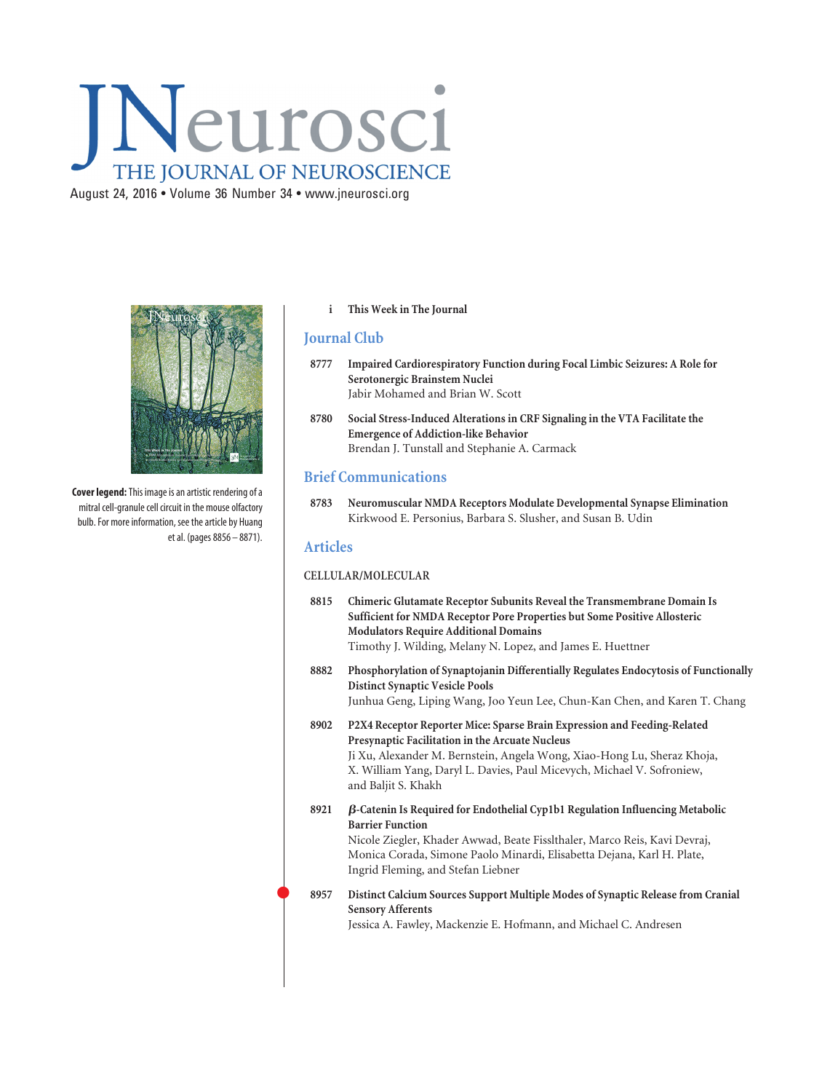# Neurosci THE JOURNAL OF NEUROSCIENCE

August 24, 2016 • Volume 36 Number 34 • www.jneurosci.org



**Cover legend:**This image is an artistic rendering of a mitral cell-granule cell circuit in the mouse olfactory bulb. For more information, see the article by Huang et al. (pages 8856 – 8871).

#### **i This Week in The Journal**

## **Journal Club**

- **8777 Impaired Cardiorespiratory Function during Focal Limbic Seizures: A Role for Serotonergic Brainstem Nuclei** Jabir Mohamed and Brian W. Scott
- **8780 Social Stress-Induced Alterations in CRF Signaling in the VTA Facilitate the Emergence of Addiction-like Behavior** Brendan J. Tunstall and Stephanie A. Carmack

# **Brief Communications**

**8783 Neuromuscular NMDA Receptors Modulate Developmental Synapse Elimination** Kirkwood E. Personius, Barbara S. Slusher, and Susan B. Udin

### **Articles**

 $\bullet$ 

#### **CELLULAR/MOLECULAR**

- **8815 Chimeric Glutamate Receptor Subunits Reveal the Transmembrane Domain Is Sufficient for NMDA Receptor Pore Properties but Some Positive Allosteric Modulators Require Additional Domains** Timothy J. Wilding, Melany N. Lopez, and James E. Huettner
- **8882 Phosphorylation of Synaptojanin Differentially Regulates Endocytosis of Functionally Distinct Synaptic Vesicle Pools** Junhua Geng, Liping Wang, Joo Yeun Lee, Chun-Kan Chen, and Karen T. Chang
- **8902 P2X4 Receptor Reporter Mice: Sparse Brain Expression and Feeding-Related Presynaptic Facilitation in the Arcuate Nucleus** Ji Xu, Alexander M. Bernstein, Angela Wong, Xiao-Hong Lu, Sheraz Khoja, X. William Yang, Daryl L. Davies, Paul Micevych, Michael V. Sofroniew, and Baljit S. Khakh
- **8921** -**-Catenin Is Required for Endothelial Cyp1b1 Regulation Influencing Metabolic Barrier Function** Nicole Ziegler, Khader Awwad, Beate Fisslthaler, Marco Reis, Kavi Devraj,

Monica Corada, Simone Paolo Minardi, Elisabetta Dejana, Karl H. Plate, Ingrid Fleming, and Stefan Liebner

## **8957 Distinct Calcium Sources Support Multiple Modes of Synaptic Release from Cranial Sensory Afferents**

Jessica A. Fawley, Mackenzie E. Hofmann, and Michael C. Andresen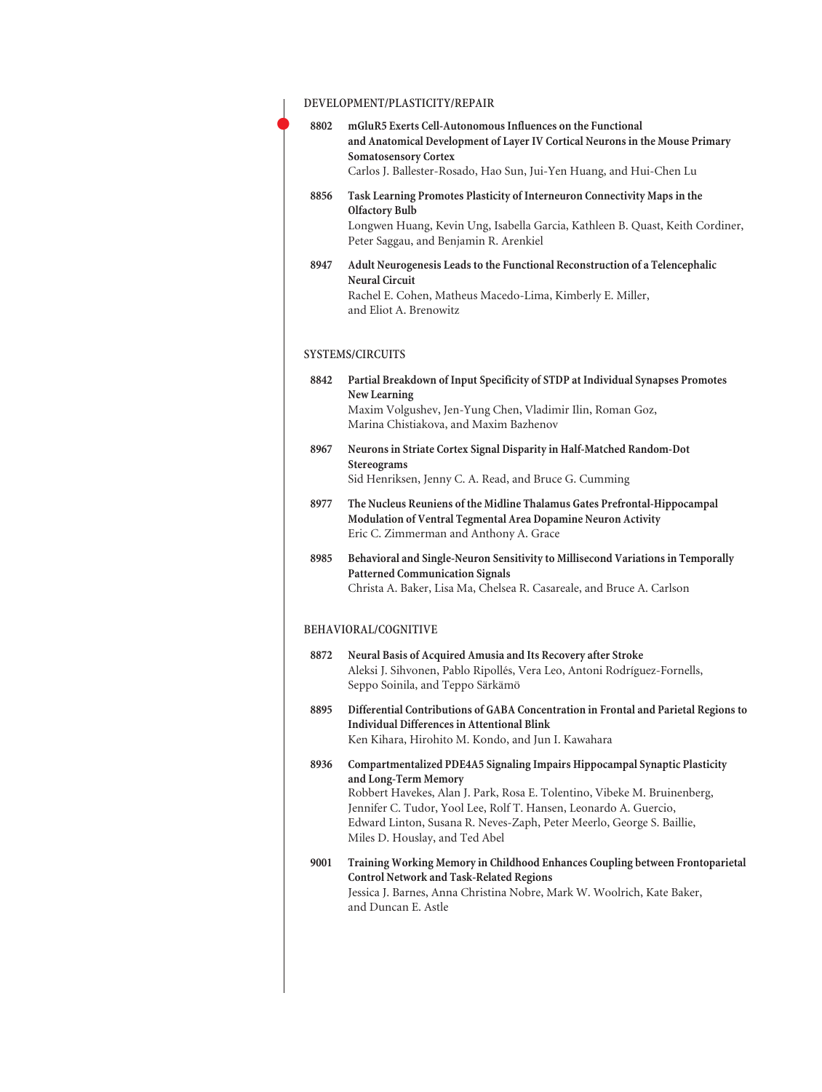|      | DEVELOPMENT/PLASTICITY/REPAIR                                                                                                                                                                                                                                                                                                                                  |
|------|----------------------------------------------------------------------------------------------------------------------------------------------------------------------------------------------------------------------------------------------------------------------------------------------------------------------------------------------------------------|
| 8802 | mGluR5 Exerts Cell-Autonomous Influences on the Functional<br>and Anatomical Development of Layer IV Cortical Neurons in the Mouse Primary<br><b>Somatosensory Cortex</b><br>Carlos J. Ballester-Rosado, Hao Sun, Jui-Yen Huang, and Hui-Chen Lu                                                                                                               |
| 8856 | Task Learning Promotes Plasticity of Interneuron Connectivity Maps in the<br><b>Olfactory Bulb</b><br>Longwen Huang, Kevin Ung, Isabella Garcia, Kathleen B. Quast, Keith Cordiner,<br>Peter Saggau, and Benjamin R. Arenkiel                                                                                                                                  |
| 8947 | Adult Neurogenesis Leads to the Functional Reconstruction of a Telencephalic<br><b>Neural Circuit</b><br>Rachel E. Cohen, Matheus Macedo-Lima, Kimberly E. Miller,<br>and Eliot A. Brenowitz                                                                                                                                                                   |
|      | <b>SYSTEMS/CIRCUITS</b>                                                                                                                                                                                                                                                                                                                                        |
| 8842 | Partial Breakdown of Input Specificity of STDP at Individual Synapses Promotes<br>New Learning                                                                                                                                                                                                                                                                 |
|      | Maxim Volgushev, Jen-Yung Chen, Vladimir Ilin, Roman Goz,<br>Marina Chistiakova, and Maxim Bazhenov                                                                                                                                                                                                                                                            |
| 8967 | Neurons in Striate Cortex Signal Disparity in Half-Matched Random-Dot<br>Stereograms<br>Sid Henriksen, Jenny C. A. Read, and Bruce G. Cumming                                                                                                                                                                                                                  |
| 8977 | The Nucleus Reuniens of the Midline Thalamus Gates Prefrontal-Hippocampal<br>Modulation of Ventral Tegmental Area Dopamine Neuron Activity<br>Eric C. Zimmerman and Anthony A. Grace                                                                                                                                                                           |
| 8985 | Behavioral and Single-Neuron Sensitivity to Millisecond Variations in Temporally<br><b>Patterned Communication Signals</b><br>Christa A. Baker, Lisa Ma, Chelsea R. Casareale, and Bruce A. Carlson                                                                                                                                                            |
|      | BEHAVIORAL/COGNITIVE                                                                                                                                                                                                                                                                                                                                           |
| 8872 | Neural Basis of Acquired Amusia and Its Recovery after Stroke<br>Aleksi J. Sihvonen, Pablo Ripollés, Vera Leo, Antoni Rodríguez-Fornells,<br>Seppo Soinila, and Teppo Särkämö                                                                                                                                                                                  |
| 8895 | Differential Contributions of GABA Concentration in Frontal and Parietal Regions to<br><b>Individual Differences in Attentional Blink</b><br>Ken Kihara, Hirohito M. Kondo, and Jun I. Kawahara                                                                                                                                                                |
| 8936 | Compartmentalized PDE4A5 Signaling Impairs Hippocampal Synaptic Plasticity<br>and Long-Term Memory<br>Robbert Havekes, Alan J. Park, Rosa E. Tolentino, Vibeke M. Bruinenberg,<br>Jennifer C. Tudor, Yool Lee, Rolf T. Hansen, Leonardo A. Guercio,<br>Edward Linton, Susana R. Neves-Zaph, Peter Meerlo, George S. Baillie,<br>Miles D. Houslay, and Ted Abel |
| 9001 | Training Working Memory in Childhood Enhances Coupling between Frontoparietal<br><b>Control Network and Task-Related Regions</b><br>Jessica J. Barnes, Anna Christina Nobre, Mark W. Woolrich, Kate Baker,<br>and Duncan E. Astle                                                                                                                              |

 $\bullet$